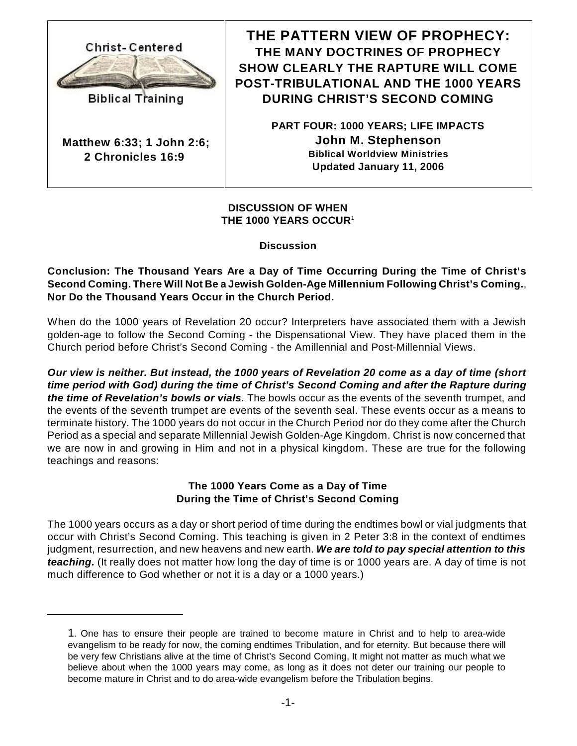

**Biblical Training** 

**Matthew 6:33; 1 John 2:6; 2 Chronicles 16:9** 

**THE PATTERN VIEW OF PROPHECY: THE MANY DOCTRINES OF PROPHECY SHOW CLEARLY THE RAPTURE WILL COME POST-TRIBULATIONAL AND THE 1000 YEARS DURING CHRIST'S SECOND COMING**

> **PART FOUR: 1000 YEARS; LIFE IMPACTS John M. Stephenson Biblical Worldview Ministries Updated January 11, 2006**

**DISCUSSION OF WHEN THE 1000 YEARS OCCUR**<sup>1</sup>

**Discussion**

**Conclusion: The Thousand Years Are a Day of Time Occurring During the Time of Christ's Second Coming. There Will Not Be a Jewish Golden-Age Millennium Following Christ's Coming.**, **Nor Do the Thousand Years Occur in the Church Period.**

When do the 1000 years of Revelation 20 occur? Interpreters have associated them with a Jewish golden-age to follow the Second Coming - the Dispensational View. They have placed them in the Church period before Christ's Second Coming - the Amillennial and Post-Millennial Views.

*Our view is neither. But instead, the 1000 years of Revelation 20 come as a day of time (short time period with God) during the time of Christ's Second Coming and after the Rapture during the time of Revelation's bowls or vials.* The bowls occur as the events of the seventh trumpet, and the events of the seventh trumpet are events of the seventh seal. These events occur as a means to terminate history. The 1000 years do not occur in the Church Period nor do they come after the Church Period as a special and separate Millennial Jewish Golden-Age Kingdom. Christ is now concerned that we are now in and growing in Him and not in a physical kingdom. These are true for the following teachings and reasons:

### **The 1000 Years Come as a Day of Time During the Time of Christ's Second Coming**

The 1000 years occurs as a day or short period of time during the endtimes bowl or vial judgments that occur with Christ's Second Coming. This teaching is given in 2 Peter 3:8 in the context of endtimes judgment, resurrection, and new heavens and new earth. *We are told to pay special attention to this teaching.* (It really does not matter how long the day of time is or 1000 years are. A day of time is not much difference to God whether or not it is a day or a 1000 years.)

<sup>1</sup>. One has to ensure their people are trained to become mature in Christ and to help to area-wide evangelism to be ready for now, the coming endtimes Tribulation, and for eternity. But because there will be very few Christians alive at the time of Christ's Second Coming, It might not matter as much what we believe about when the 1000 years may come, as long as it does not deter our training our people to become mature in Christ and to do area-wide evangelism before the Tribulation begins.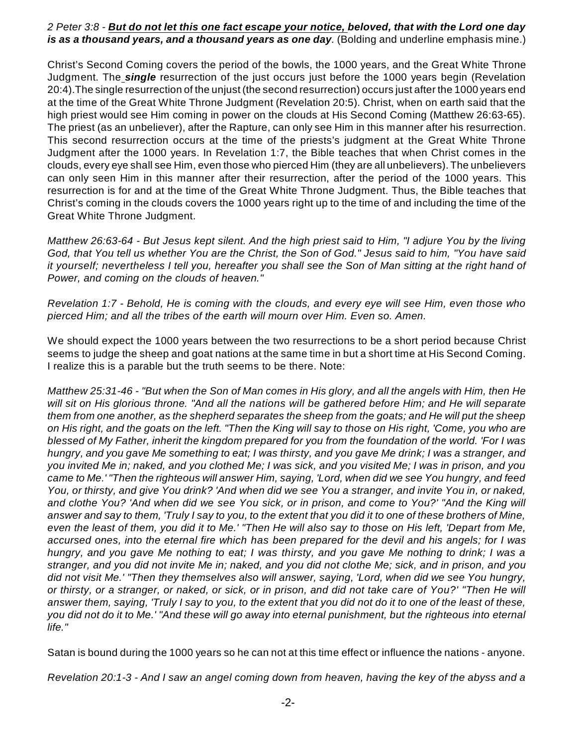#### *2 Peter 3:8 - But do not let this one fact escape your notice, beloved, that with the Lord one day is as a thousand years, and a thousand years as one day*. (Bolding and underline emphasis mine.)

Christ's Second Coming covers the period of the bowls, the 1000 years, and the Great White Throne Judgment. The *single* resurrection of the just occurs just before the 1000 years begin (Revelation 20:4).The single resurrection of the unjust (the second resurrection) occurs just after the 1000 years end at the time of the Great White Throne Judgment (Revelation 20:5). Christ, when on earth said that the high priest would see Him coming in power on the clouds at His Second Coming (Matthew 26:63-65). The priest (as an unbeliever), after the Rapture, can only see Him in this manner after his resurrection. This second resurrection occurs at the time of the priests's judgment at the Great White Throne Judgment after the 1000 years. In Revelation 1:7, the Bible teaches that when Christ comes in the clouds, every eye shall see Him, even those who pierced Him (they are all unbelievers). The unbelievers can only seen Him in this manner after their resurrection, after the period of the 1000 years. This resurrection is for and at the time of the Great White Throne Judgment. Thus, the Bible teaches that Christ's coming in the clouds covers the 1000 years right up to the time of and including the time of the Great White Throne Judgment.

*Matthew 26:63-64 - But Jesus kept silent. And the high priest said to Him, "I adjure You by the living God, that You tell us whether You are the Christ, the Son of God." Jesus said to him, "You have said it yourself; nevertheless I tell you, hereafter you shall see the Son of Man sitting at the right hand of Power, and coming on the clouds of heaven."*

*Revelation 1:7 - Behold, He is coming with the clouds, and every eye will see Him, even those who pierced Him; and all the tribes of the earth will mourn over Him. Even so. Amen.*

We should expect the 1000 years between the two resurrections to be a short period because Christ seems to judge the sheep and goat nations at the same time in but a short time at His Second Coming. I realize this is a parable but the truth seems to be there. Note:

*Matthew 25:31-46 - "But when the Son of Man comes in His glory, and all the angels with Him, then He will sit on His glorious throne. "And all the nations will be gathered before Him; and He will separate them from one another, as the shepherd separates the sheep from the goats; and He will put the sheep on His right, and the goats on the left. "Then the King will say to those on His right, 'Come, you who are blessed of My Father, inherit the kingdom prepared for you from the foundation of the world. 'For I was hungry, and you gave Me something to eat; I was thirsty, and you gave Me drink; I was a stranger, and you invited Me in; naked, and you clothed Me; I was sick, and you visited Me; I was in prison, and you came to Me.' "Then the righteous will answer Him, saying, 'Lord, when did we see You hungry, and feed You, or thirsty, and give You drink? 'And when did we see You a stranger, and invite You in, or naked, and clothe You? 'And when did we see You sick, or in prison, and come to You?' "And the King will answer and say to them, 'Truly I say to you, to the extent that you did it to one of these brothers of Mine, even the least of them, you did it to Me.' "Then He will also say to those on His left, 'Depart from Me, accursed ones, into the eternal fire which has been prepared for the devil and his angels; for I was hungry, and you gave Me nothing to eat; I was thirsty, and you gave Me nothing to drink; I was a stranger, and you did not invite Me in; naked, and you did not clothe Me; sick, and in prison, and you did not visit Me.' "Then they themselves also will answer, saying, 'Lord, when did we see You hungry, or thirsty, or a stranger, or naked, or sick, or in prison, and did not take care of You?' "Then He will answer them, saying, 'Truly I say to you, to the extent that you did not do it to one of the least of these, you did not do it to Me.' "And these will go away into eternal punishment, but the righteous into eternal life."*

Satan is bound during the 1000 years so he can not at this time effect or influence the nations - anyone.

*Revelation 20:1-3 - And I saw an angel coming down from heaven, having the key of the abyss and a*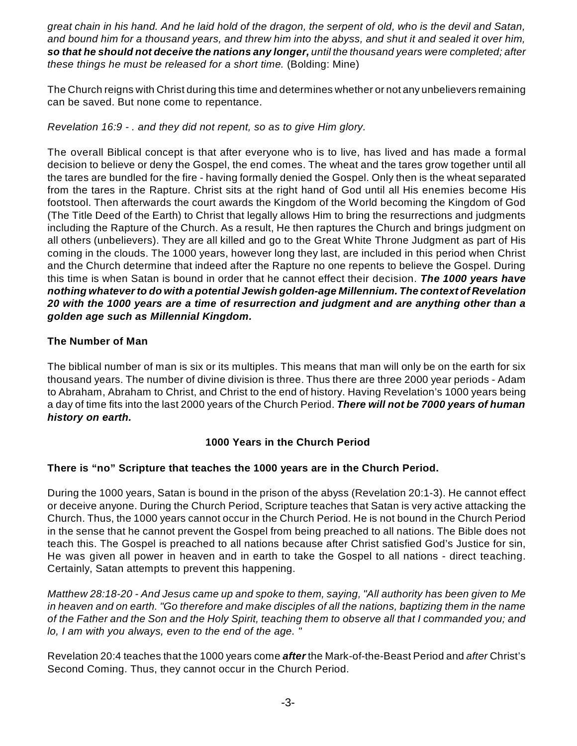*great chain in his hand. And he laid hold of the dragon, the serpent of old, who is the devil and Satan, and bound him for a thousand years, and threw him into the abyss, and shut it and sealed it over him, so that he should not deceive the nations any longer, until the thousand years were completed; after these things he must be released for a short time.* (Bolding: Mine)

The Church reigns with Christ during this time and determines whether or not any unbelievers remaining can be saved. But none come to repentance.

*Revelation 16:9 - . and they did not repent, so as to give Him glory.*

The overall Biblical concept is that after everyone who is to live, has lived and has made a formal decision to believe or deny the Gospel, the end comes. The wheat and the tares grow together until all the tares are bundled for the fire - having formally denied the Gospel. Only then is the wheat separated from the tares in the Rapture. Christ sits at the right hand of God until all His enemies become His footstool. Then afterwards the court awards the Kingdom of the World becoming the Kingdom of God (The Title Deed of the Earth) to Christ that legally allows Him to bring the resurrections and judgments including the Rapture of the Church. As a result, He then raptures the Church and brings judgment on all others (unbelievers). They are all killed and go to the Great White Throne Judgment as part of His coming in the clouds. The 1000 years, however long they last, are included in this period when Christ and the Church determine that indeed after the Rapture no one repents to believe the Gospel. During this time is when Satan is bound in order that he cannot effect their decision. *The 1000 years have nothing whateverto do with a potential Jewish golden-age Millennium. The context of Revelation 20 with the 1000 years are a time of resurrection and judgment and are anything other than a golden age such as Millennial Kingdom.*

## **The Number of Man**

The biblical number of man is six or its multiples. This means that man will only be on the earth for six thousand years. The number of divine division is three. Thus there are three 2000 year periods - Adam to Abraham, Abraham to Christ, and Christ to the end of history. Having Revelation's 1000 years being a day of time fits into the last 2000 years of the Church Period. *There will not be 7000 years of human history on earth.*

### **1000 Years in the Church Period**

### **There is "no" Scripture that teaches the 1000 years are in the Church Period.**

During the 1000 years, Satan is bound in the prison of the abyss (Revelation 20:1-3). He cannot effect or deceive anyone. During the Church Period, Scripture teaches that Satan is very active attacking the Church. Thus, the 1000 years cannot occur in the Church Period. He is not bound in the Church Period in the sense that he cannot prevent the Gospel from being preached to all nations. The Bible does not teach this. The Gospel is preached to all nations because after Christ satisfied God's Justice for sin, He was given all power in heaven and in earth to take the Gospel to all nations - direct teaching. Certainly, Satan attempts to prevent this happening.

*Matthew 28:18-20 - And Jesus came up and spoke to them, saying, "All authority has been given to Me in heaven and on earth. "Go therefore and make disciples of all the nations, baptizing them in the name of the Father and the Son and the Holy Spirit, teaching them to observe all that I commanded you; and lo, I am with you always, even to the end of the age. "*

Revelation 20:4 teaches that the 1000 years come *after* the Mark-of-the-Beast Period and *after* Christ's Second Coming. Thus, they cannot occur in the Church Period.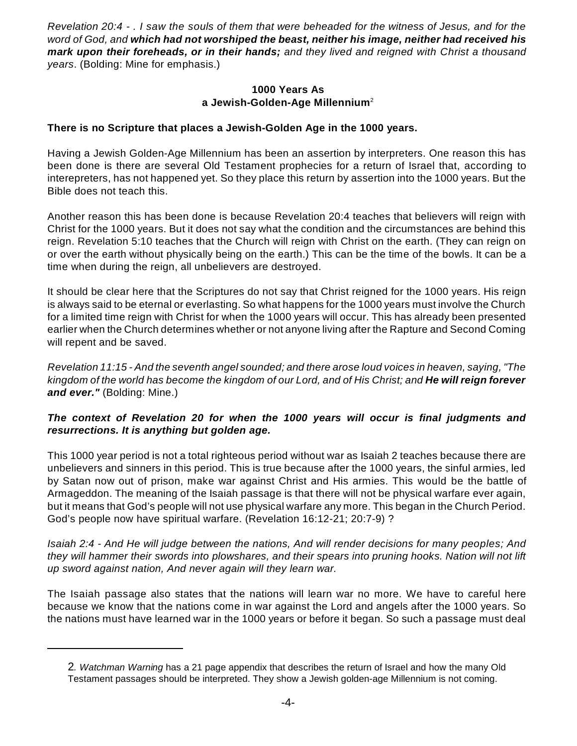*Revelation 20:4 - . I saw the souls of them that were beheaded for the witness of Jesus, and for the word of God, and which had not worshiped the beast, neither his image, neither had received his mark upon their foreheads, or in their hands; and they lived and reigned with Christ a thousand years*. (Bolding: Mine for emphasis.)

#### **1000 Years As a Jewish-Golden-Age Millennium**<sup>2</sup>

#### **There is no Scripture that places a Jewish-Golden Age in the 1000 years.**

Having a Jewish Golden-Age Millennium has been an assertion by interpreters. One reason this has been done is there are several Old Testament prophecies for a return of Israel that, according to interepreters, has not happened yet. So they place this return by assertion into the 1000 years. But the Bible does not teach this.

Another reason this has been done is because Revelation 20:4 teaches that believers will reign with Christ for the 1000 years. But it does not say what the condition and the circumstances are behind this reign. Revelation 5:10 teaches that the Church will reign with Christ on the earth. (They can reign on or over the earth without physically being on the earth.) This can be the time of the bowls. It can be a time when during the reign, all unbelievers are destroyed.

It should be clear here that the Scriptures do not say that Christ reigned for the 1000 years. His reign is always said to be eternal or everlasting. So what happens for the 1000 years must involve the Church for a limited time reign with Christ for when the 1000 years will occur. This has already been presented earlier when the Church determines whether or not anyone living after the Rapture and Second Coming will repent and be saved.

*Revelation 11:15 - And the seventh angel sounded; and there arose loud voices in heaven, saying, "The* kingdom of the world has become the kingdom of our Lord, and of His Christ; and **He will reign forever** *and ever."* (Bolding: Mine.)

### *The context of Revelation 20 for when the 1000 years will occur is final judgments and resurrections. It is anything but golden age.*

This 1000 year period is not a total righteous period without war as Isaiah 2 teaches because there are unbelievers and sinners in this period. This is true because after the 1000 years, the sinful armies, led by Satan now out of prison, make war against Christ and His armies. This would be the battle of Armageddon. The meaning of the Isaiah passage is that there will not be physical warfare ever again, but it means that God's people will not use physical warfare any more. This began in the Church Period. God's people now have spiritual warfare. (Revelation 16:12-21; 20:7-9) ?

*Isaiah 2:4 - And He will judge between the nations, And will render decisions for many peoples; And they will hammer their swords into plowshares, and their spears into pruning hooks. Nation will not lift up sword against nation, And never again will they learn war.*

The Isaiah passage also states that the nations will learn war no more. We have to careful here because we know that the nations come in war against the Lord and angels after the 1000 years. So the nations must have learned war in the 1000 years or before it began. So such a passage must deal

<sup>2</sup>*. Watchman Warning* has a 21 page appendix that describes the return of Israel and how the many Old Testament passages should be interpreted. They show a Jewish golden-age Millennium is not coming.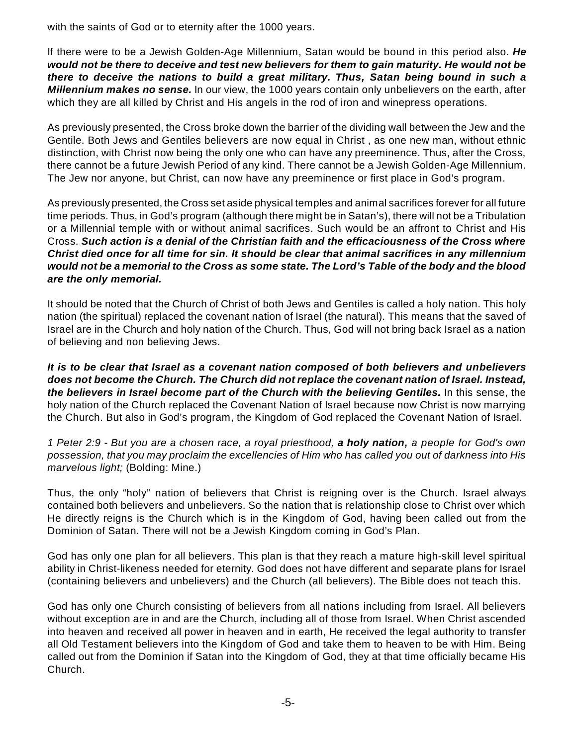with the saints of God or to eternity after the 1000 years.

If there were to be a Jewish Golden-Age Millennium, Satan would be bound in this period also. *He would not be there to deceive and test new believers for them to gain maturity. He would not be there to deceive the nations to build a great military. Thus, Satan being bound in such a Millennium makes no sense.* In our view, the 1000 years contain only unbelievers on the earth, after which they are all killed by Christ and His angels in the rod of iron and winepress operations.

As previously presented, the Cross broke down the barrier of the dividing wall between the Jew and the Gentile. Both Jews and Gentiles believers are now equal in Christ , as one new man, without ethnic distinction, with Christ now being the only one who can have any preeminence. Thus, after the Cross, there cannot be a future Jewish Period of any kind. There cannot be a Jewish Golden-Age Millennium. The Jew nor anyone, but Christ, can now have any preeminence or first place in God's program.

As previously presented, the Cross set aside physical temples and animal sacrifices forever for all future time periods. Thus, in God's program (although there might be in Satan's), there will not be a Tribulation or a Millennial temple with or without animal sacrifices. Such would be an affront to Christ and His Cross. *Such action is a denial of the Christian faith and the efficaciousness of the Cross where Christ died once for all time for sin. It should be clear that animal sacrifices in any millennium would not be a memorial to the Cross as some state. The Lord's Table of the body and the blood are the only memorial.*

It should be noted that the Church of Christ of both Jews and Gentiles is called a holy nation. This holy nation (the spiritual) replaced the covenant nation of Israel (the natural). This means that the saved of Israel are in the Church and holy nation of the Church. Thus, God will not bring back Israel as a nation of believing and non believing Jews.

*It is to be clear that Israel as a covenant nation composed of both believers and unbelievers does not become the Church. The Church did not replace the covenant nation of Israel. Instead, the believers in Israel become part of the Church with the believing Gentiles.* In this sense, the holy nation of the Church replaced the Covenant Nation of Israel because now Christ is now marrying the Church. But also in God's program, the Kingdom of God replaced the Covenant Nation of Israel.

*1 Peter 2:9 - But you are a chosen race, a royal priesthood, a holy nation, a people for God's own possession, that you may proclaim the excellencies of Him who has called you out of darkness into His marvelous light;* (Bolding: Mine.)

Thus, the only "holy" nation of believers that Christ is reigning over is the Church. Israel always contained both believers and unbelievers. So the nation that is relationship close to Christ over which He directly reigns is the Church which is in the Kingdom of God, having been called out from the Dominion of Satan. There will not be a Jewish Kingdom coming in God's Plan.

God has only one plan for all believers. This plan is that they reach a mature high-skill level spiritual ability in Christ-likeness needed for eternity. God does not have different and separate plans for Israel (containing believers and unbelievers) and the Church (all believers). The Bible does not teach this.

God has only one Church consisting of believers from all nations including from Israel. All believers without exception are in and are the Church, including all of those from Israel. When Christ ascended into heaven and received all power in heaven and in earth, He received the legal authority to transfer all Old Testament believers into the Kingdom of God and take them to heaven to be with Him. Being called out from the Dominion if Satan into the Kingdom of God, they at that time officially became His Church.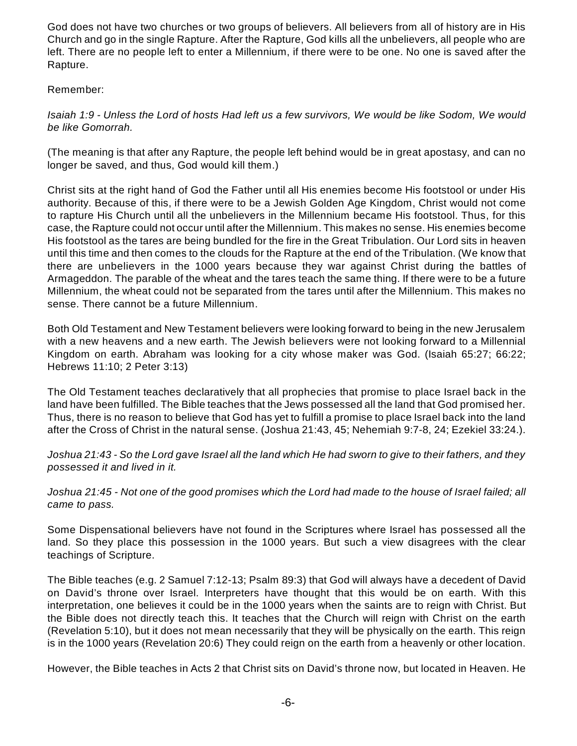God does not have two churches or two groups of believers. All believers from all of history are in His Church and go in the single Rapture. After the Rapture, God kills all the unbelievers, all people who are left. There are no people left to enter a Millennium, if there were to be one. No one is saved after the Rapture.

### Remember:

*Isaiah 1:9 - Unless the Lord of hosts Had left us a few survivors, We would be like Sodom, We would be like Gomorrah.*

(The meaning is that after any Rapture, the people left behind would be in great apostasy, and can no longer be saved, and thus, God would kill them.)

Christ sits at the right hand of God the Father until all His enemies become His footstool or under His authority. Because of this, if there were to be a Jewish Golden Age Kingdom, Christ would not come to rapture His Church until all the unbelievers in the Millennium became His footstool. Thus, for this case, the Rapture could not occur until after the Millennium. This makes no sense. His enemies become His footstool as the tares are being bundled for the fire in the Great Tribulation. Our Lord sits in heaven until this time and then comes to the clouds for the Rapture at the end of the Tribulation. (We know that there are unbelievers in the 1000 years because they war against Christ during the battles of Armageddon. The parable of the wheat and the tares teach the same thing. If there were to be a future Millennium, the wheat could not be separated from the tares until after the Millennium. This makes no sense. There cannot be a future Millennium.

Both Old Testament and New Testament believers were looking forward to being in the new Jerusalem with a new heavens and a new earth. The Jewish believers were not looking forward to a Millennial Kingdom on earth. Abraham was looking for a city whose maker was God. (Isaiah 65:27; 66:22; Hebrews 11:10; 2 Peter 3:13)

The Old Testament teaches declaratively that all prophecies that promise to place Israel back in the land have been fulfilled. The Bible teaches that the Jews possessed all the land that God promised her. Thus, there is no reason to believe that God has yet to fulfill a promise to place Israel back into the land after the Cross of Christ in the natural sense. (Joshua 21:43, 45; Nehemiah 9:7-8, 24; Ezekiel 33:24.).

*Joshua 21:43 - So the Lord gave Israel all the land which He had sworn to give to their fathers, and they possessed it and lived in it.*

*Joshua 21:45 - Not one of the good promises which the Lord had made to the house of Israel failed; all came to pass.*

Some Dispensational believers have not found in the Scriptures where Israel has possessed all the land. So they place this possession in the 1000 years. But such a view disagrees with the clear teachings of Scripture.

The Bible teaches (e.g. 2 Samuel 7:12-13; Psalm 89:3) that God will always have a decedent of David on David's throne over Israel. Interpreters have thought that this would be on earth. With this interpretation, one believes it could be in the 1000 years when the saints are to reign with Christ. But the Bible does not directly teach this. It teaches that the Church will reign with Christ on the earth (Revelation 5:10), but it does not mean necessarily that they will be physically on the earth. This reign is in the 1000 years (Revelation 20:6) They could reign on the earth from a heavenly or other location.

However, the Bible teaches in Acts 2 that Christ sits on David's throne now, but located in Heaven. He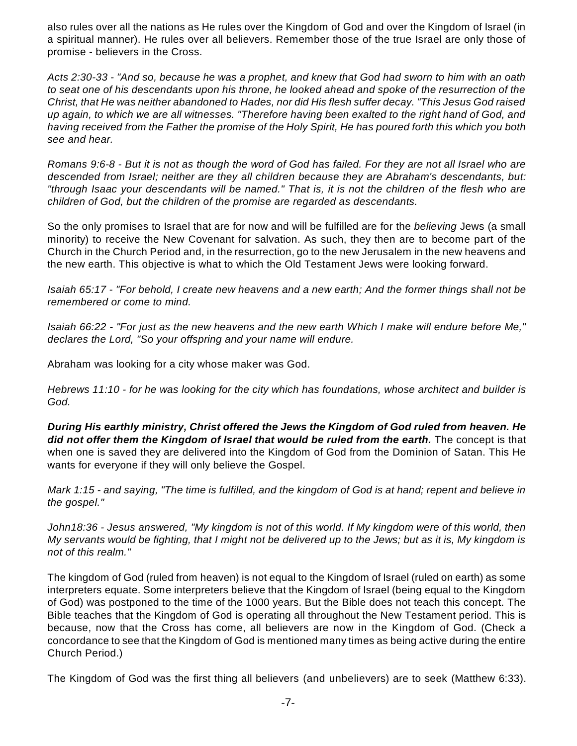also rules over all the nations as He rules over the Kingdom of God and over the Kingdom of Israel (in a spiritual manner). He rules over all believers. Remember those of the true Israel are only those of promise - believers in the Cross.

*Acts 2:30-33 - "And so, because he was a prophet, and knew that God had sworn to him with an oath to seat one of his descendants upon his throne, he looked ahead and spoke of the resurrection of the Christ, that He was neither abandoned to Hades, nor did His flesh suffer decay. "This Jesus God raised up again, to which we are all witnesses. "Therefore having been exalted to the right hand of God, and having received from the Father the promise of the Holy Spirit, He has poured forth this which you both see and hear.*

*Romans 9:6-8 - But it is not as though the word of God has failed. For they are not all Israel who are descended from Israel; neither are they all children because they are Abraham's descendants, but: "through Isaac your descendants will be named." That is, it is not the children of the flesh who are children of God, but the children of the promise are regarded as descendants.*

So the only promises to Israel that are for now and will be fulfilled are for the *believing* Jews (a small minority) to receive the New Covenant for salvation. As such, they then are to become part of the Church in the Church Period and, in the resurrection, go to the new Jerusalem in the new heavens and the new earth. This objective is what to which the Old Testament Jews were looking forward.

*Isaiah 65:17 - "For behold, I create new heavens and a new earth; And the former things shall not be remembered or come to mind.*

*Isaiah 66:22 - "For just as the new heavens and the new earth Which I make will endure before Me," declares the Lord, "So your offspring and your name will endure.*

Abraham was looking for a city whose maker was God.

*Hebrews 11:10 - for he was looking for the city which has foundations, whose architect and builder is God.*

*During His earthly ministry, Christ offered the Jews the Kingdom of God ruled from heaven. He did not offer them the Kingdom of Israel that would be ruled from the earth.* The concept is that when one is saved they are delivered into the Kingdom of God from the Dominion of Satan. This He wants for everyone if they will only believe the Gospel.

*Mark 1:15 - and saying, "The time is fulfilled, and the kingdom of God is at hand; repent and believe in the gospel."*

*John18:36 - Jesus answered, "My kingdom is not of this world. If My kingdom were of this world, then My servants would be fighting, that I might not be delivered up to the Jews; but as it is, My kingdom is not of this realm."*

The kingdom of God (ruled from heaven) is not equal to the Kingdom of Israel (ruled on earth) as some interpreters equate. Some interpreters believe that the Kingdom of Israel (being equal to the Kingdom of God) was postponed to the time of the 1000 years. But the Bible does not teach this concept. The Bible teaches that the Kingdom of God is operating all throughout the New Testament period. This is because, now that the Cross has come, all believers are now in the Kingdom of God. (Check a concordance to see that the Kingdom of God is mentioned many times as being active during the entire Church Period.)

The Kingdom of God was the first thing all believers (and unbelievers) are to seek (Matthew 6:33).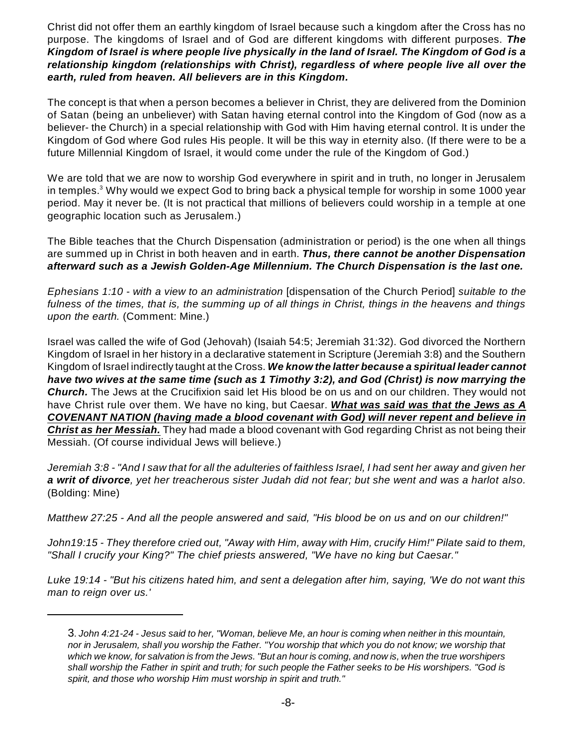Christ did not offer them an earthly kingdom of Israel because such a kingdom after the Cross has no purpose. The kingdoms of Israel and of God are different kingdoms with different purposes. *The Kingdom of Israel is where people live physically in the land of Israel. The Kingdom of God is a relationship kingdom (relationships with Christ), regardless of where people live all over the earth, ruled from heaven. All believers are in this Kingdom.*

The concept is that when a person becomes a believer in Christ, they are delivered from the Dominion of Satan (being an unbeliever) with Satan having eternal control into the Kingdom of God (now as a believer- the Church) in a special relationship with God with Him having eternal control. It is under the Kingdom of God where God rules His people. It will be this way in eternity also. (If there were to be a future Millennial Kingdom of Israel, it would come under the rule of the Kingdom of God.)

We are told that we are now to worship God everywhere in spirit and in truth, no longer in Jerusalem in temples.<sup>3</sup> Why would we expect God to bring back a physical temple for worship in some 1000 year period. May it never be. (It is not practical that millions of believers could worship in a temple at one geographic location such as Jerusalem.)

The Bible teaches that the Church Dispensation (administration or period) is the one when all things are summed up in Christ in both heaven and in earth. *Thus, there cannot be another Dispensation afterward such as a Jewish Golden-Age Millennium. The Church Dispensation is the last one.*

*Ephesians 1:10 - with a view to an administration* [dispensation of the Church Period] *suitable to the fulness of the times, that is, the summing up of all things in Christ, things in the heavens and things upon the earth.* (Comment: Mine.)

Israel was called the wife of God (Jehovah) (Isaiah 54:5; Jeremiah 31:32). God divorced the Northern Kingdom of Israel in her history in a declarative statement in Scripture (Jeremiah 3:8) and the Southern Kingdom of Israel indirectly taught at the Cross. *We know the latter because a spiritual leader cannot have two wives at the same time (such as 1 Timothy 3:2), and God (Christ) is now marrying the Church.* The Jews at the Crucifixion said let His blood be on us and on our children. They would not have Christ rule over them. We have no king, but Caesar. *What was said was that the Jews as A COVENANT NATION (having made a blood covenant with God) will never repent and believe in Christ as her Messiah.* They had made a blood covenant with God regarding Christ as not being their Messiah. (Of course individual Jews will believe.)

*Jeremiah 3:8 - "And I saw that for all the adulteries of faithless Israel, I had sent her away and given her a writ of divorce, yet her treacherous sister Judah did not fear; but she went and was a harlot also.* (Bolding: Mine)

*Matthew 27:25 - And all the people answered and said, "His blood be on us and on our children!"*

*John19:15 - They therefore cried out, "Away with Him, away with Him, crucify Him!" Pilate said to them, "Shall I crucify your King?" The chief priests answered, "We have no king but Caesar."*

*Luke 19:14 - "But his citizens hated him, and sent a delegation after him, saying, 'We do not want this man to reign over us.'*

<sup>3</sup>. *John 4:21-24 - Jesus said to her, "Woman, believe Me, an hour is coming when neither in this mountain, nor in Jerusalem, shall you worship the Father. "You worship that which you do not know; we worship that which we know, for salvation is from the Jews. "But an hour is coming, and now is, when the true worshipers shall worship the Father in spirit and truth; for such people the Father seeks to be His worshipers. "God is spirit, and those who worship Him must worship in spirit and truth."*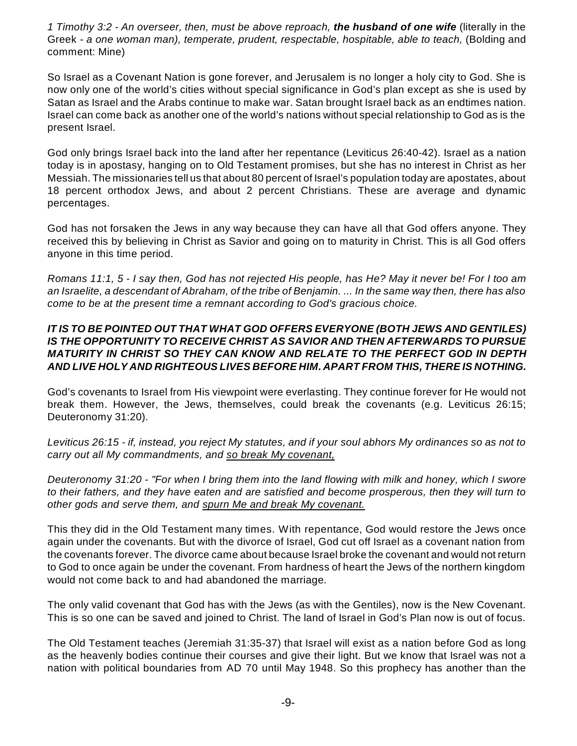*1 Timothy 3:2 - An overseer, then, must be above reproach, the husband of one wife* (literally in the Greek - *a one woman man), temperate, prudent, respectable, hospitable, able to teach,* (Bolding and comment: Mine)

So Israel as a Covenant Nation is gone forever, and Jerusalem is no longer a holy city to God. She is now only one of the world's cities without special significance in God's plan except as she is used by Satan as Israel and the Arabs continue to make war. Satan brought Israel back as an endtimes nation. Israel can come back as another one of the world's nations without special relationship to God as is the present Israel.

God only brings Israel back into the land after her repentance (Leviticus 26:40-42). Israel as a nation today is in apostasy, hanging on to Old Testament promises, but she has no interest in Christ as her Messiah. The missionaries tell us that about 80 percent of Israel's population today are apostates, about 18 percent orthodox Jews, and about 2 percent Christians. These are average and dynamic percentages.

God has not forsaken the Jews in any way because they can have all that God offers anyone. They received this by believing in Christ as Savior and going on to maturity in Christ. This is all God offers anyone in this time period.

*Romans 11:1, 5 - I say then, God has not rejected His people, has He? May it never be! For I too am an Israelite, a descendant of Abraham, of the tribe of Benjamin. ... In the same way then, there has also come to be at the present time a remnant according to God's gracious choice.*

#### *IT IS TO BE POINTED OUT THAT WHAT GOD OFFERS EVERYONE (BOTH JEWS AND GENTILES) IS THE OPPORTUNITY TO RECEIVE CHRIST AS SAVIOR AND THEN AFTERWARDS TO PURSUE MATURITY IN CHRIST SO THEY CAN KNOW AND RELATE TO THE PERFECT GOD IN DEPTH AND LIVE HOLY AND RIGHTEOUS LIVES BEFORE HIM. APART FROM THIS, THERE IS NOTHING.*

God's covenants to Israel from His viewpoint were everlasting. They continue forever for He would not break them. However, the Jews, themselves, could break the covenants (e.g. Leviticus 26:15; Deuteronomy 31:20).

*Leviticus 26:15 - if, instead, you reject My statutes, and if your soul abhors My ordinances so as not to carry out all My commandments, and so break My covenant,*

*Deuteronomy 31:20 - "For when I bring them into the land flowing with milk and honey, which I swore to their fathers, and they have eaten and are satisfied and become prosperous, then they will turn to other gods and serve them, and spurn Me and break My covenant.*

This they did in the Old Testament many times. With repentance, God would restore the Jews once again under the covenants. But with the divorce of Israel, God cut off Israel as a covenant nation from the covenants forever. The divorce came about because Israel broke the covenant and would not return to God to once again be under the covenant. From hardness of heart the Jews of the northern kingdom would not come back to and had abandoned the marriage.

The only valid covenant that God has with the Jews (as with the Gentiles), now is the New Covenant. This is so one can be saved and joined to Christ. The land of Israel in God's Plan now is out of focus.

The Old Testament teaches (Jeremiah 31:35-37) that Israel will exist as a nation before God as long as the heavenly bodies continue their courses and give their light. But we know that Israel was not a nation with political boundaries from AD 70 until May 1948. So this prophecy has another than the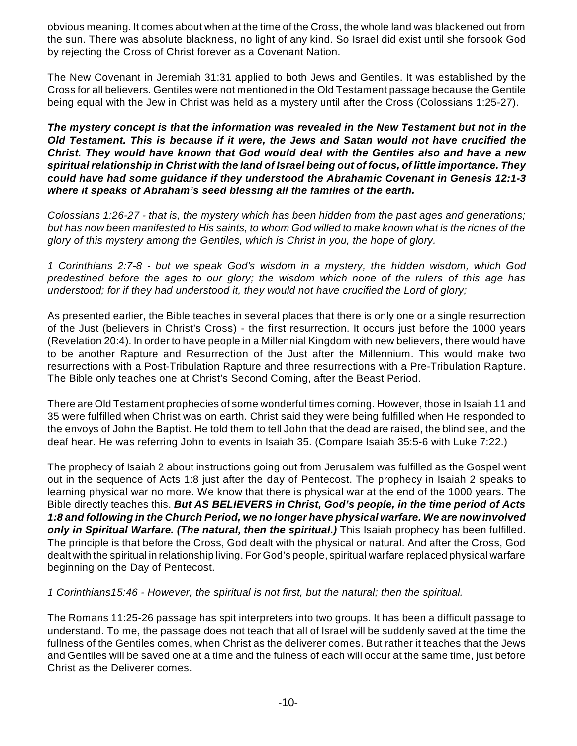obvious meaning. It comes about when at the time of the Cross, the whole land was blackened out from the sun. There was absolute blackness, no light of any kind. So Israel did exist until she forsook God by rejecting the Cross of Christ forever as a Covenant Nation.

The New Covenant in Jeremiah 31:31 applied to both Jews and Gentiles. It was established by the Cross for all believers. Gentiles were not mentioned in the Old Testament passage because the Gentile being equal with the Jew in Christ was held as a mystery until after the Cross (Colossians 1:25-27).

*The mystery concept is that the information was revealed in the New Testament but not in the Old Testament. This is because if it were, the Jews and Satan would not have crucified the Christ. They would have known that God would deal with the Gentiles also and have a new spiritual relationship in Christ with the land of Israel being out of focus, of little importance. They could have had some guidance if they understood the Abrahamic Covenant in Genesis 12:1-3 where it speaks of Abraham's seed blessing all the families of the earth.*

*Colossians 1:26-27 - that is, the mystery which has been hidden from the past ages and generations; but has now been manifested to His saints, to whom God willed to make known what is the riches of the glory of this mystery among the Gentiles, which is Christ in you, the hope of glory.*

*1 Corinthians 2:7-8 - but we speak God's wisdom in a mystery, the hidden wisdom, which God predestined before the ages to our glory; the wisdom which none of the rulers of this age has understood; for if they had understood it, they would not have crucified the Lord of glory;*

As presented earlier, the Bible teaches in several places that there is only one or a single resurrection of the Just (believers in Christ's Cross) - the first resurrection. It occurs just before the 1000 years (Revelation 20:4). In order to have people in a Millennial Kingdom with new believers, there would have to be another Rapture and Resurrection of the Just after the Millennium. This would make two resurrections with a Post-Tribulation Rapture and three resurrections with a Pre-Tribulation Rapture. The Bible only teaches one at Christ's Second Coming, after the Beast Period.

There are Old Testament prophecies of some wonderful times coming. However, those in Isaiah 11 and 35 were fulfilled when Christ was on earth. Christ said they were being fulfilled when He responded to the envoys of John the Baptist. He told them to tell John that the dead are raised, the blind see, and the deaf hear. He was referring John to events in Isaiah 35. (Compare Isaiah 35:5-6 with Luke 7:22.)

The prophecy of Isaiah 2 about instructions going out from Jerusalem was fulfilled as the Gospel went out in the sequence of Acts 1:8 just after the day of Pentecost. The prophecy in Isaiah 2 speaks to learning physical war no more. We know that there is physical war at the end of the 1000 years. The Bible directly teaches this. *But AS BELIEVERS in Christ, God's people, in the time period of Acts 1:8 and following in the Church Period, we no longer have physical warfare. We are now involved only in Spiritual Warfare. (The natural, then the spiritual.)* This Isaiah prophecy has been fulfilled. The principle is that before the Cross, God dealt with the physical or natural. And after the Cross, God dealt with the spiritual in relationship living. For God's people, spiritual warfare replaced physical warfare beginning on the Day of Pentecost.

#### *1 Corinthians15:46 - However, the spiritual is not first, but the natural; then the spiritual.*

The Romans 11:25-26 passage has spit interpreters into two groups. It has been a difficult passage to understand. To me, the passage does not teach that all of Israel will be suddenly saved at the time the fullness of the Gentiles comes, when Christ as the deliverer comes. But rather it teaches that the Jews and Gentiles will be saved one at a time and the fulness of each will occur at the same time, just before Christ as the Deliverer comes.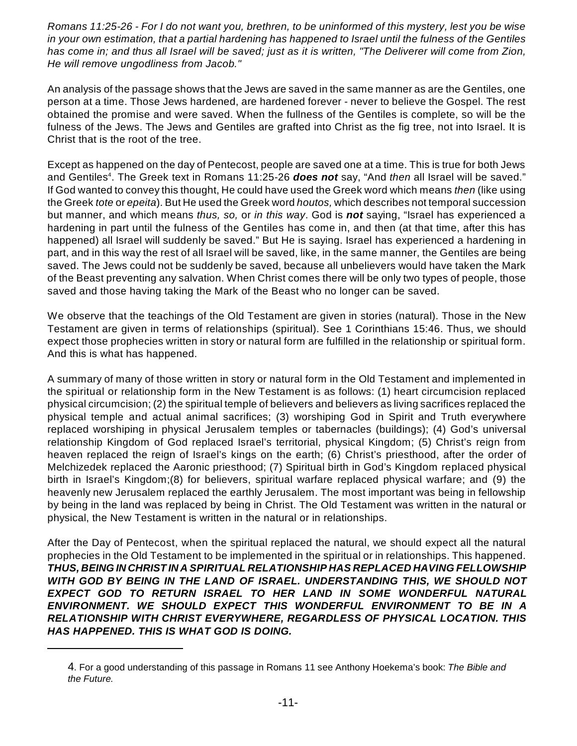*Romans 11:25-26 - For I do not want you, brethren, to be uninformed of this mystery, lest you be wise in your own estimation, that a partial hardening has happened to Israel until the fulness of the Gentiles has come in; and thus all Israel will be saved; just as it is written, "The Deliverer will come from Zion, He will remove ungodliness from Jacob."*

An analysis of the passage shows that the Jews are saved in the same manner as are the Gentiles, one person at a time. Those Jews hardened, are hardened forever - never to believe the Gospel. The rest obtained the promise and were saved. When the fullness of the Gentiles is complete, so will be the fulness of the Jews. The Jews and Gentiles are grafted into Christ as the fig tree, not into Israel. It is Christ that is the root of the tree.

Except as happened on the day of Pentecost, people are saved one at a time. This is true for both Jews and Gentiles<sup>4</sup>. The Greek text in Romans 11:25-26 **does not** say, "And *then* all Israel will be saved." If God wanted to convey this thought, He could have used the Greek word which means *then* (like using the Greek *tote* or *epeita*). But He used the Greek word *houtos,* which describes not temporal succession but manner, and which means *thus, so,* or *in this way*. God is *not* saying, "Israel has experienced a hardening in part until the fulness of the Gentiles has come in, and then (at that time, after this has happened) all Israel will suddenly be saved." But He is saying. Israel has experienced a hardening in part, and in this way the rest of all Israel will be saved, like, in the same manner, the Gentiles are being saved. The Jews could not be suddenly be saved, because all unbelievers would have taken the Mark of the Beast preventing any salvation. When Christ comes there will be only two types of people, those saved and those having taking the Mark of the Beast who no longer can be saved.

We observe that the teachings of the Old Testament are given in stories (natural). Those in the New Testament are given in terms of relationships (spiritual). See 1 Corinthians 15:46. Thus, we should expect those prophecies written in story or natural form are fulfilled in the relationship or spiritual form. And this is what has happened.

A summary of many of those written in story or natural form in the Old Testament and implemented in the spiritual or relationship form in the New Testament is as follows: (1) heart circumcision replaced physical circumcision; (2) the spiritual temple of believers and believers as living sacrifices replaced the physical temple and actual animal sacrifices; (3) worshiping God in Spirit and Truth everywhere replaced worshiping in physical Jerusalem temples or tabernacles (buildings); (4) God's universal relationship Kingdom of God replaced Israel's territorial, physical Kingdom; (5) Christ's reign from heaven replaced the reign of Israel's kings on the earth; (6) Christ's priesthood, after the order of Melchizedek replaced the Aaronic priesthood; (7) Spiritual birth in God's Kingdom replaced physical birth in Israel's Kingdom;(8) for believers, spiritual warfare replaced physical warfare; and (9) the heavenly new Jerusalem replaced the earthly Jerusalem. The most important was being in fellowship by being in the land was replaced by being in Christ. The Old Testament was written in the natural or physical, the New Testament is written in the natural or in relationships.

After the Day of Pentecost, when the spiritual replaced the natural, we should expect all the natural prophecies in the Old Testament to be implemented in the spiritual or in relationships. This happened. *THUS, BEING IN CHRIST IN A SPIRITUAL RELATIONSHIP HAS REPLACED HAVING FELLOWSHIP WITH GOD BY BEING IN THE LAND OF ISRAEL. UNDERSTANDING THIS, WE SHOULD NOT EXPECT GOD TO RETURN ISRAEL TO HER LAND IN SOME WONDERFUL NATURAL ENVIRONMENT. WE SHOULD EXPECT THIS WONDERFUL ENVIRONMENT TO BE IN A RELATIONSHIP WITH CHRIST EVERYWHERE, REGARDLESS OF PHYSICAL LOCATION. THIS HAS HAPPENED. THIS IS WHAT GOD IS DOING.*

<sup>4</sup>. For a good understanding of this passage in Romans 11 see Anthony Hoekema's book: *The Bible and the Future.*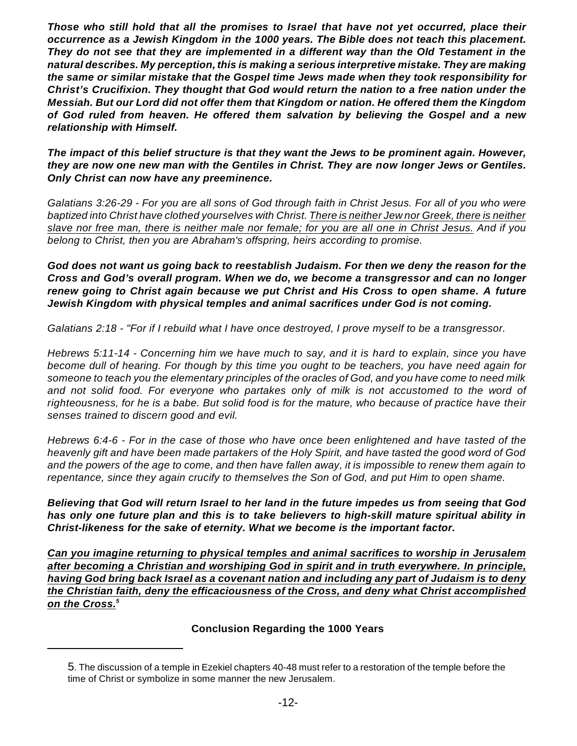*Those who still hold that all the promises to Israel that have not yet occurred, place their occurrence as a Jewish Kingdom in the 1000 years. The Bible does not teach this placement. They do not see that they are implemented in a different way than the Old Testament in the natural describes. My perception, this is making a serious interpretive mistake. They are making the same or similar mistake that the Gospel time Jews made when they took responsibility for Christ's Crucifixion. They thought that God would return the nation to a free nation under the Messiah. But our Lord did not offer them that Kingdom or nation. He offered them the Kingdom of God ruled from heaven. He offered them salvation by believing the Gospel and a new relationship with Himself.*

*The impact of this belief structure is that they want the Jews to be prominent again. However, they are now one new man with the Gentiles in Christ. They are now longer Jews or Gentiles. Only Christ can now have any preeminence.* 

*Galatians 3:26-29 - For you are all sons of God through faith in Christ Jesus. For all of you who were baptized into Christ have clothed yourselves with Christ. There is neither Jew nor Greek, there is neither slave nor free man, there is neither male nor female; for you are all one in Christ Jesus. And if you belong to Christ, then you are Abraham's offspring, heirs according to promise.*

*God does not want us going back to reestablish Judaism. For then we deny the reason for the Cross and God's overall program. When we do, we become a transgressor and can no longer renew going to Christ again because we put Christ and His Cross to open shame. A future Jewish Kingdom with physical temples and animal sacrifices under God is not coming.*

*Galatians 2:18 - "For if I rebuild what I have once destroyed, I prove myself to be a transgressor.*

*Hebrews 5:11-14 - Concerning him we have much to say, and it is hard to explain, since you have become dull of hearing. For though by this time you ought to be teachers, you have need again for someone to teach you the elementary principles of the oracles of God, and you have come to need milk and not solid food. For everyone who partakes only of milk is not accustomed to the word of righteousness, for he is a babe. But solid food is for the mature, who because of practice have their senses trained to discern good and evil.*

*Hebrews 6:4-6 - For in the case of those who have once been enlightened and have tasted of the heavenly gift and have been made partakers of the Holy Spirit, and have tasted the good word of God and the powers of the age to come, and then have fallen away, it is impossible to renew them again to repentance, since they again crucify to themselves the Son of God, and put Him to open shame.*

*Believing that God will return Israel to her land in the future impedes us from seeing that God has only one future plan and this is to take believers to high-skill mature spiritual ability in Christ-likeness for the sake of eternity. What we become is the important factor.*

*Can you imagine returning to physical temples and animal sacrifices to worship in Jerusalem after becoming a Christian and worshiping God in spirit and in truth everywhere. In principle, having God bring back Israel as a covenant nation and including any part of Judaism is to deny the Christian faith, deny the efficaciousness of the Cross, and deny what Christ accomplished on the Cross. 5*

#### **Conclusion Regarding the 1000 Years**

<sup>5</sup>. The discussion of a temple in Ezekiel chapters 40-48 must refer to a restoration of the temple before the time of Christ or symbolize in some manner the new Jerusalem.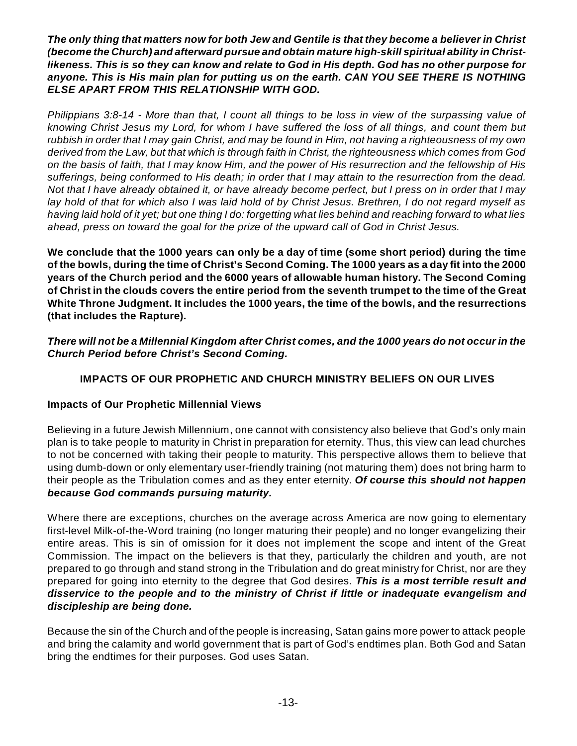*The only thing that matters now for both Jew and Gentile is that they become a believer in Christ (become the Church) and afterward pursue and obtain mature high-skill spiritual ability in Christlikeness. This is so they can know and relate to God in His depth. God has no other purpose for anyone. This is His main plan for putting us on the earth. CAN YOU SEE THERE IS NOTHING ELSE APART FROM THIS RELATIONSHIP WITH GOD.*

*Philippians 3:8-14 - More than that, I count all things to be loss in view of the surpassing value of knowing Christ Jesus my Lord, for whom I have suffered the loss of all things, and count them but rubbish in order that I may gain Christ, and may be found in Him, not having a righteousness of my own derived from the Law, but that which is through faith in Christ, the righteousness which comes from God on the basis of faith, that I may know Him, and the power of His resurrection and the fellowship of His sufferings, being conformed to His death; in order that I may attain to the resurrection from the dead. Not that I have already obtained it, or have already become perfect, but I press on in order that I may lay hold of that for which also I was laid hold of by Christ Jesus. Brethren, I do not regard myself as having laid hold of it yet; but one thing I do: forgetting what lies behind and reaching forward to what lies ahead, press on toward the goal for the prize of the upward call of God in Christ Jesus.*

**We conclude that the 1000 years can only be a day of time (some short period) during the time of the bowls, during the time of Christ's Second Coming. The 1000 years as a day fit into the 2000 years of the Church period and the 6000 years of allowable human history. The Second Coming of Christ in the clouds covers the entire period from the seventh trumpet to the time of the Great White Throne Judgment. It includes the 1000 years, the time of the bowls, and the resurrections (that includes the Rapture).**

*There will not be a Millennial Kingdom after Christ comes, and the 1000 years do not occur in the Church Period before Christ's Second Coming.*

# **IMPACTS OF OUR PROPHETIC AND CHURCH MINISTRY BELIEFS ON OUR LIVES**

### **Impacts of Our Prophetic Millennial Views**

Believing in a future Jewish Millennium, one cannot with consistency also believe that God's only main plan is to take people to maturity in Christ in preparation for eternity. Thus, this view can lead churches to not be concerned with taking their people to maturity. This perspective allows them to believe that using dumb-down or only elementary user-friendly training (not maturing them) does not bring harm to their people as the Tribulation comes and as they enter eternity. *Of course this should not happen because God commands pursuing maturity.*

Where there are exceptions, churches on the average across America are now going to elementary first-level Milk-of-the-Word training (no longer maturing their people) and no longer evangelizing their entire areas. This is sin of omission for it does not implement the scope and intent of the Great Commission. The impact on the believers is that they, particularly the children and youth, are not prepared to go through and stand strong in the Tribulation and do great ministry for Christ, nor are they prepared for going into eternity to the degree that God desires. *This is a most terrible result and disservice to the people and to the ministry of Christ if little or inadequate evangelism and discipleship are being done.*

Because the sin of the Church and of the people is increasing, Satan gains more power to attack people and bring the calamity and world government that is part of God's endtimes plan. Both God and Satan bring the endtimes for their purposes. God uses Satan.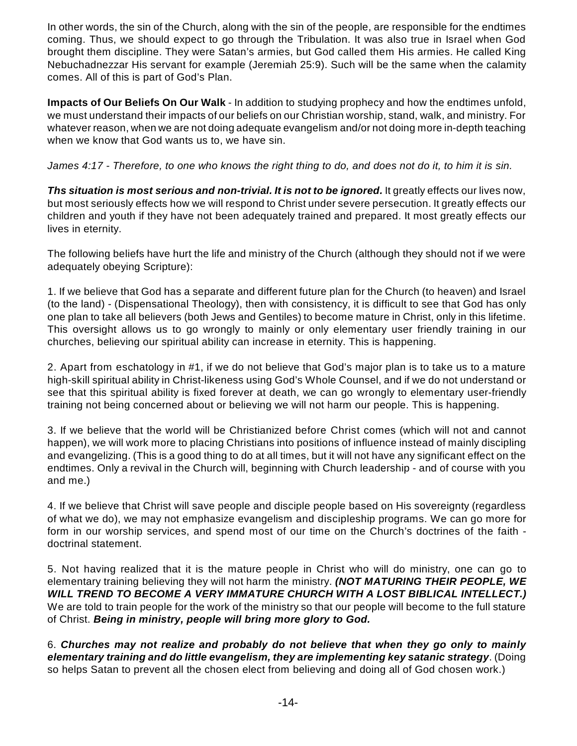In other words, the sin of the Church, along with the sin of the people, are responsible for the endtimes coming. Thus, we should expect to go through the Tribulation. It was also true in Israel when God brought them discipline. They were Satan's armies, but God called them His armies. He called King Nebuchadnezzar His servant for example (Jeremiah 25:9). Such will be the same when the calamity comes. All of this is part of God's Plan.

**Impacts of Our Beliefs On Our Walk** - In addition to studying prophecy and how the endtimes unfold, we must understand their impacts of our beliefs on our Christian worship, stand, walk, and ministry. For whatever reason, when we are not doing adequate evangelism and/or not doing more in-depth teaching when we know that God wants us to, we have sin.

*James 4:17 - Therefore, to one who knows the right thing to do, and does not do it, to him it is sin.*

**Ths situation is most serious and non-trivial. It is not to be ignored.** It greatly effects our lives now, but most seriously effects how we will respond to Christ under severe persecution. It greatly effects our children and youth if they have not been adequately trained and prepared. It most greatly effects our lives in eternity.

The following beliefs have hurt the life and ministry of the Church (although they should not if we were adequately obeying Scripture):

1. If we believe that God has a separate and different future plan for the Church (to heaven) and Israel (to the land) - (Dispensational Theology), then with consistency, it is difficult to see that God has only one plan to take all believers (both Jews and Gentiles) to become mature in Christ, only in this lifetime. This oversight allows us to go wrongly to mainly or only elementary user friendly training in our churches, believing our spiritual ability can increase in eternity. This is happening.

2. Apart from eschatology in #1, if we do not believe that God's major plan is to take us to a mature high-skill spiritual ability in Christ-likeness using God's Whole Counsel, and if we do not understand or see that this spiritual ability is fixed forever at death, we can go wrongly to elementary user-friendly training not being concerned about or believing we will not harm our people. This is happening.

3. If we believe that the world will be Christianized before Christ comes (which will not and cannot happen), we will work more to placing Christians into positions of influence instead of mainly discipling and evangelizing. (This is a good thing to do at all times, but it will not have any significant effect on the endtimes. Only a revival in the Church will, beginning with Church leadership - and of course with you and me.)

4. If we believe that Christ will save people and disciple people based on His sovereignty (regardless of what we do), we may not emphasize evangelism and discipleship programs. We can go more for form in our worship services, and spend most of our time on the Church's doctrines of the faith doctrinal statement.

5. Not having realized that it is the mature people in Christ who will do ministry, one can go to elementary training believing they will not harm the ministry. *(NOT MATURING THEIR PEOPLE, WE WILL TREND TO BECOME A VERY IMMATURE CHURCH WITH A LOST BIBLICAL INTELLECT.)* We are told to train people for the work of the ministry so that our people will become to the full stature of Christ. *Being in ministry, people will bring more glory to God.*

6. *Churches may not realize and probably do not believe that when they go only to mainly elementary training and do little evangelism, they are implementing key satanic strategy*. (Doing so helps Satan to prevent all the chosen elect from believing and doing all of God chosen work.)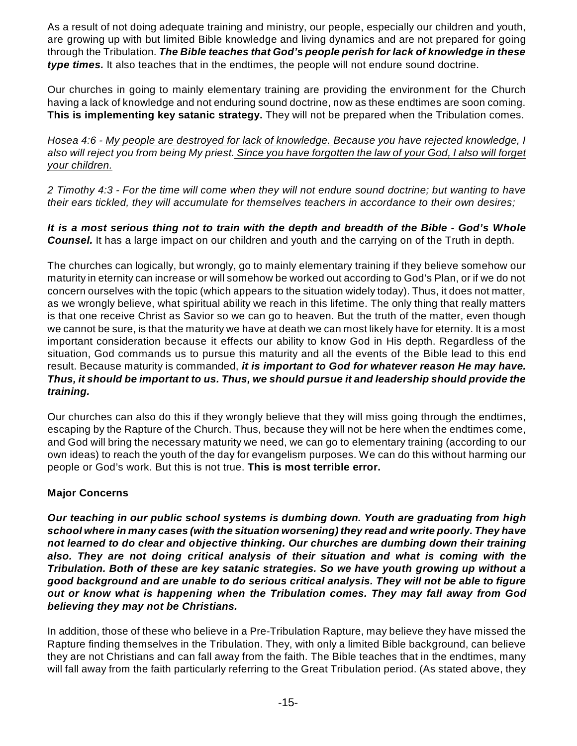As a result of not doing adequate training and ministry, our people, especially our children and youth, are growing up with but limited Bible knowledge and living dynamics and are not prepared for going through the Tribulation. *The Bible teaches that God's people perish for lack of knowledge in these type times.* It also teaches that in the endtimes, the people will not endure sound doctrine.

Our churches in going to mainly elementary training are providing the environment for the Church having a lack of knowledge and not enduring sound doctrine, now as these endtimes are soon coming. **This is implementing key satanic strategy.** They will not be prepared when the Tribulation comes.

*Hosea 4:6 - My people are destroyed for lack of knowledge. Because you have rejected knowledge, I also will reject you from being My priest. Since you have forgotten the law of your God, I also will forget your children.*

*2 Timothy 4:3 - For the time will come when they will not endure sound doctrine; but wanting to have their ears tickled, they will accumulate for themselves teachers in accordance to their own desires;*

*It is a most serious thing not to train with the depth and breadth of the Bible - God's Whole Counsel.* It has a large impact on our children and youth and the carrying on of the Truth in depth.

The churches can logically, but wrongly, go to mainly elementary training if they believe somehow our maturity in eternity can increase or will somehow be worked out according to God's Plan, or if we do not concern ourselves with the topic (which appears to the situation widely today). Thus, it does not matter, as we wrongly believe, what spiritual ability we reach in this lifetime. The only thing that really matters is that one receive Christ as Savior so we can go to heaven. But the truth of the matter, even though we cannot be sure, is that the maturity we have at death we can most likely have for eternity. It is a most important consideration because it effects our ability to know God in His depth. Regardless of the situation, God commands us to pursue this maturity and all the events of the Bible lead to this end result. Because maturity is commanded, *it is important to God for whatever reason He may have. Thus, it should be important to us. Thus, we should pursue it and leadership should provide the training.*

Our churches can also do this if they wrongly believe that they will miss going through the endtimes, escaping by the Rapture of the Church. Thus, because they will not be here when the endtimes come, and God will bring the necessary maturity we need, we can go to elementary training (according to our own ideas) to reach the youth of the day for evangelism purposes. We can do this without harming our people or God's work. But this is not true. **This is most terrible error.**

# **Major Concerns**

*Our teaching in our public school systems is dumbing down. Youth are graduating from high school where in many cases (with the situation worsening) they read and write poorly. They have not learned to do clear and objective thinking. Our churches are dumbing down their training also. They are not doing critical analysis of their situation and what is coming with the Tribulation. Both of these are key satanic strategies. So we have youth growing up without a good background and are unable to do serious critical analysis. They will not be able to figure out or know what is happening when the Tribulation comes. They may fall away from God believing they may not be Christians.*

In addition, those of these who believe in a Pre-Tribulation Rapture, may believe they have missed the Rapture finding themselves in the Tribulation. They, with only a limited Bible background, can believe they are not Christians and can fall away from the faith. The Bible teaches that in the endtimes, many will fall away from the faith particularly referring to the Great Tribulation period. (As stated above, they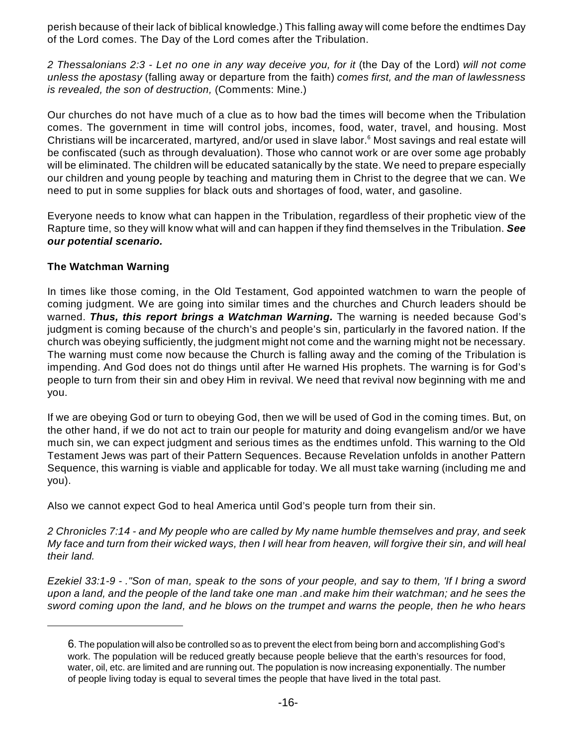perish because of their lack of biblical knowledge.) This falling away will come before the endtimes Day of the Lord comes. The Day of the Lord comes after the Tribulation.

*2 Thessalonians 2:3 - Let no one in any way deceive you, for it* (the Day of the Lord) *will not come unless the apostasy* (falling away or departure from the faith) *comes first, and the man of lawlessness is revealed, the son of destruction,* (Comments: Mine.)

Our churches do not have much of a clue as to how bad the times will become when the Tribulation comes. The government in time will control jobs, incomes, food, water, travel, and housing. Most Christians will be incarcerated, martyred, and/or used in slave labor.<sup>6</sup> Most savings and real estate will be confiscated (such as through devaluation). Those who cannot work or are over some age probably will be eliminated. The children will be educated satanically by the state. We need to prepare especially our children and young people by teaching and maturing them in Christ to the degree that we can. We need to put in some supplies for black outs and shortages of food, water, and gasoline.

Everyone needs to know what can happen in the Tribulation, regardless of their prophetic view of the Rapture time, so they will know what will and can happen if they find themselves in the Tribulation. *See our potential scenario.*

## **The Watchman Warning**

In times like those coming, in the Old Testament, God appointed watchmen to warn the people of coming judgment. We are going into similar times and the churches and Church leaders should be warned. *Thus, this report brings a Watchman Warning.* The warning is needed because God's judgment is coming because of the church's and people's sin, particularly in the favored nation. If the church was obeying sufficiently, the judgment might not come and the warning might not be necessary. The warning must come now because the Church is falling away and the coming of the Tribulation is impending. And God does not do things until after He warned His prophets. The warning is for God's people to turn from their sin and obey Him in revival. We need that revival now beginning with me and you.

If we are obeying God or turn to obeying God, then we will be used of God in the coming times. But, on the other hand, if we do not act to train our people for maturity and doing evangelism and/or we have much sin, we can expect judgment and serious times as the endtimes unfold. This warning to the Old Testament Jews was part of their Pattern Sequences. Because Revelation unfolds in another Pattern Sequence, this warning is viable and applicable for today. We all must take warning (including me and you).

Also we cannot expect God to heal America until God's people turn from their sin.

*2 Chronicles 7:14 - and My people who are called by My name humble themselves and pray, and seek My face and turn from their wicked ways, then I will hear from heaven, will forgive their sin, and will heal their land.*

*Ezekiel 33:1-9 - ."Son of man, speak to the sons of your people, and say to them, 'If I bring a sword upon a land, and the people of the land take one man .and make him their watchman; and he sees the sword coming upon the land, and he blows on the trumpet and warns the people, then he who hears*

<sup>6</sup>. The population will also be controlled so as to prevent the elect from being born and accomplishing God's work. The population will be reduced greatly because people believe that the earth's resources for food, water, oil, etc. are limited and are running out. The population is now increasing exponentially. The number of people living today is equal to several times the people that have lived in the total past.